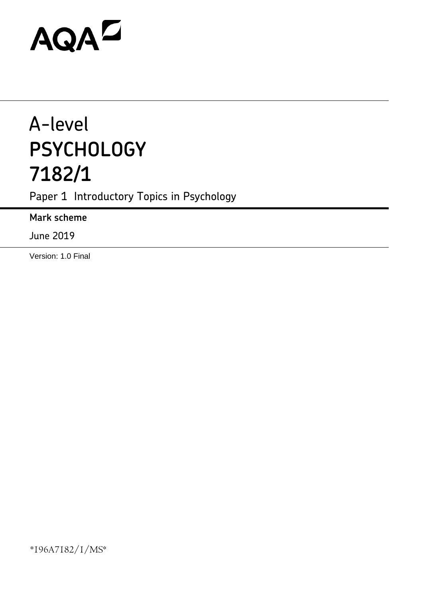# AQAZ

# A-level **PSYCHOLOGY 7182/1**

Paper 1 Introductory Topics in Psychology

**Mark scheme**

June 2019

Version: 1.0 Final

\*196A7182/1/MS\*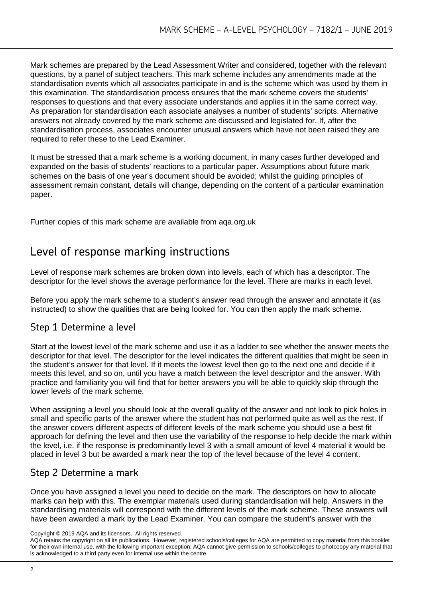Mark schemes are prepared by the Lead Assessment Writer and considered, together with the relevant questions, by a panel of subject teachers. This mark scheme includes any amendments made at the standardisation events which all associates participate in and is the scheme which was used by them in this examination. The standardisation process ensures that the mark scheme covers the students' responses to questions and that every associate understands and applies it in the same correct way. As preparation for standardisation each associate analyses a number of students' scripts. Alternative answers not already covered by the mark scheme are discussed and legislated for. If, after the standardisation process, associates encounter unusual answers which have not been raised they are required to refer these to the Lead Examiner.

It must be stressed that a mark scheme is a working document, in many cases further developed and expanded on the basis of students' reactions to a particular paper. Assumptions about future mark schemes on the basis of one year's document should be avoided; whilst the guiding principles of assessment remain constant, details will change, depending on the content of a particular examination paper.

Further copies of this mark scheme are available from aqa.org.uk

# Level of response marking instructions

Level of response mark schemes are broken down into levels, each of which has a descriptor. The descriptor for the level shows the average performance for the level. There are marks in each level.

Before you apply the mark scheme to a student's answer read through the answer and annotate it (as instructed) to show the qualities that are being looked for. You can then apply the mark scheme.

# Step 1 Determine a level

Start at the lowest level of the mark scheme and use it as a ladder to see whether the answer meets the descriptor for that level. The descriptor for the level indicates the different qualities that might be seen in the student's answer for that level. If it meets the lowest level then go to the next one and decide if it meets this level, and so on, until you have a match between the level descriptor and the answer. With practice and familiarity you will find that for better answers you will be able to quickly skip through the lower levels of the mark scheme.

When assigning a level you should look at the overall quality of the answer and not look to pick holes in small and specific parts of the answer where the student has not performed quite as well as the rest. If the answer covers different aspects of different levels of the mark scheme you should use a best fit approach for defining the level and then use the variability of the response to help decide the mark within the level, i.e. if the response is predominantly level 3 with a small amount of level 4 material it would be placed in level 3 but be awarded a mark near the top of the level because of the level 4 content.

# Step 2 Determine a mark

Once you have assigned a level you need to decide on the mark. The descriptors on how to allocate marks can help with this. The exemplar materials used during standardisation will help. Answers in the standardising materials will correspond with the different levels of the mark scheme. These answers will have been awarded a mark by the Lead Examiner. You can compare the student's answer with the

Copyright © 2019 AQA and its licensors. All rights reserved.

AQA retains the copyright on all its publications. However, registered schools/colleges for AQA are permitted to copy material from this booklet for their own internal use, with the following important exception: AQA cannot give permission to schools/colleges to photocopy any material that is acknowledged to a third party even for internal use within the centre.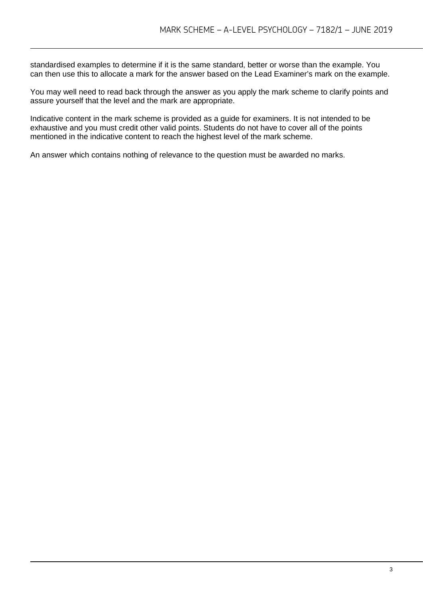standardised examples to determine if it is the same standard, better or worse than the example. You can then use this to allocate a mark for the answer based on the Lead Examiner's mark on the example.

You may well need to read back through the answer as you apply the mark scheme to clarify points and assure yourself that the level and the mark are appropriate.

Indicative content in the mark scheme is provided as a guide for examiners. It is not intended to be exhaustive and you must credit other valid points. Students do not have to cover all of the points mentioned in the indicative content to reach the highest level of the mark scheme.

An answer which contains nothing of relevance to the question must be awarded no marks.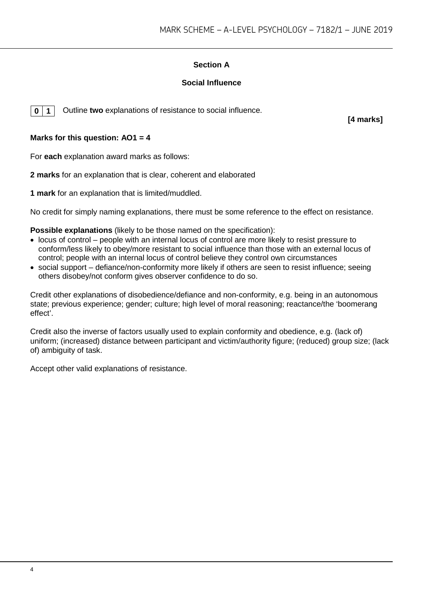# **Section A**

# **Social Influence**

**0 1** Outline **two** explanations of resistance to social influence.

**[4 marks]**

# **Marks for this question: AO1 = 4**

For **each** explanation award marks as follows:

**2 marks** for an explanation that is clear, coherent and elaborated

**1 mark** for an explanation that is limited/muddled.

No credit for simply naming explanations, there must be some reference to the effect on resistance.

**Possible explanations** (likely to be those named on the specification):

- locus of control people with an internal locus of control are more likely to resist pressure to conform/less likely to obey/more resistant to social influence than those with an external locus of control; people with an internal locus of control believe they control own circumstances
- social support defiance/non-conformity more likely if others are seen to resist influence; seeing others disobey/not conform gives observer confidence to do so.

Credit other explanations of disobedience/defiance and non-conformity, e.g. being in an autonomous state; previous experience; gender; culture; high level of moral reasoning; reactance/the 'boomerang effect'.

Credit also the inverse of factors usually used to explain conformity and obedience, e.g. (lack of) uniform; (increased) distance between participant and victim/authority figure; (reduced) group size; (lack of) ambiguity of task.

Accept other valid explanations of resistance.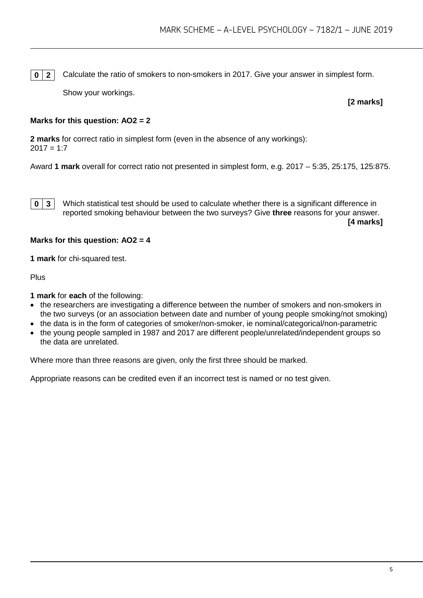**0** | **2** | Calculate the ratio of smokers to non-smokers in 2017. Give your answer in simplest form.

Show your workings.

**[2 marks]**

# **Marks for this question: AO2 = 2**

**2 marks** for correct ratio in simplest form (even in the absence of any workings):  $2017 = 1.7$ 

Award **1 mark** overall for correct ratio not presented in simplest form, e.g. 2017 – 5:35, 25:175, 125:875.

**0 3** Which statistical test should be used to calculate whether there is a significant difference in reported smoking behaviour between the two surveys? Give **three** reasons for your answer.

**[4 marks]**

#### **Marks for this question: AO2 = 4**

**1 mark** for chi-squared test.

Plus

**1 mark** for **each** of the following:

- the researchers are investigating a difference between the number of smokers and non-smokers in the two surveys (or an association between date and number of young people smoking/not smoking)
- the data is in the form of categories of smoker/non-smoker, ie nominal/categorical/non-parametric
- the young people sampled in 1987 and 2017 are different people/unrelated/independent groups so the data are unrelated.

Where more than three reasons are given, only the first three should be marked.

Appropriate reasons can be credited even if an incorrect test is named or no test given.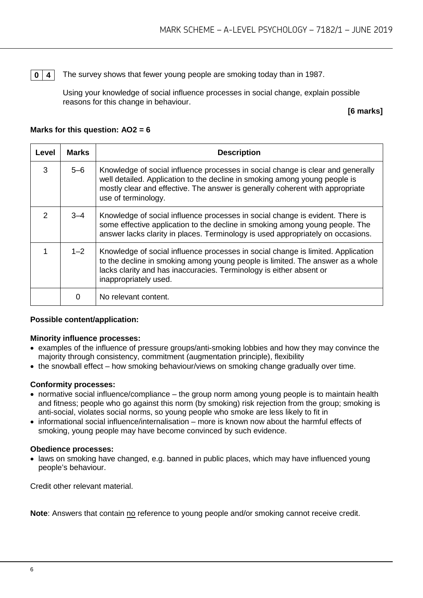**0** | 4 | The survey shows that fewer young people are smoking today than in 1987.

Using your knowledge of social influence processes in social change, explain possible reasons for this change in behaviour.

# **[6 marks]**

# **Marks for this question: AO2 = 6**

| Level         | <b>Marks</b> | <b>Description</b>                                                                                                                                                                                                                                                    |
|---------------|--------------|-----------------------------------------------------------------------------------------------------------------------------------------------------------------------------------------------------------------------------------------------------------------------|
| 3             | $5 - 6$      | Knowledge of social influence processes in social change is clear and generally<br>well detailed. Application to the decline in smoking among young people is<br>mostly clear and effective. The answer is generally coherent with appropriate<br>use of terminology. |
| $\mathcal{P}$ | $3 - 4$      | Knowledge of social influence processes in social change is evident. There is<br>some effective application to the decline in smoking among young people. The<br>answer lacks clarity in places. Terminology is used appropriately on occasions.                      |
|               | $1 - 2$      | Knowledge of social influence processes in social change is limited. Application<br>to the decline in smoking among young people is limited. The answer as a whole<br>lacks clarity and has inaccuracies. Terminology is either absent or<br>inappropriately used.    |
|               | 0            | No relevant content.                                                                                                                                                                                                                                                  |

# **Possible content/application:**

# **Minority influence processes:**

- examples of the influence of pressure groups/anti-smoking lobbies and how they may convince the majority through consistency, commitment (augmentation principle), flexibility
- the snowball effect how smoking behaviour/views on smoking change gradually over time.

# **Conformity processes:**

- normative social influence/compliance the group norm among young people is to maintain health and fitness; people who go against this norm (by smoking) risk rejection from the group; smoking is anti-social, violates social norms, so young people who smoke are less likely to fit in
- informational social influence/internalisation more is known now about the harmful effects of smoking, young people may have become convinced by such evidence.

#### **Obedience processes:**

• laws on smoking have changed, e.g. banned in public places, which may have influenced young people's behaviour.

Credit other relevant material.

**Note**: Answers that contain no reference to young people and/or smoking cannot receive credit.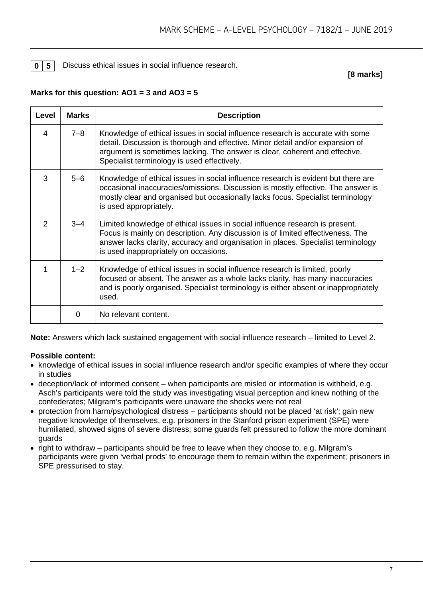**0 5** Discuss ethical issues in social influence research.

**[8 marks]**

# **Marks for this question: AO1 = 3 and AO3 = 5**

| <b>Level</b> | <b>Marks</b> | <b>Description</b>                                                                                                                                                                                                                                                                             |
|--------------|--------------|------------------------------------------------------------------------------------------------------------------------------------------------------------------------------------------------------------------------------------------------------------------------------------------------|
| 4            | $7 - 8$      | Knowledge of ethical issues in social influence research is accurate with some<br>detail. Discussion is thorough and effective. Minor detail and/or expansion of<br>argument is sometimes lacking. The answer is clear, coherent and effective.<br>Specialist terminology is used effectively. |
| 3            | $5 - 6$      | Knowledge of ethical issues in social influence research is evident but there are<br>occasional inaccuracies/omissions. Discussion is mostly effective. The answer is<br>mostly clear and organised but occasionally lacks focus. Specialist terminology<br>is used appropriately.             |
| 2            | $3 - 4$      | Limited knowledge of ethical issues in social influence research is present.<br>Focus is mainly on description. Any discussion is of limited effectiveness. The<br>answer lacks clarity, accuracy and organisation in places. Specialist terminology<br>is used inappropriately on occasions.  |
| 1            | $1 - 2$      | Knowledge of ethical issues in social influence research is limited, poorly<br>focused or absent. The answer as a whole lacks clarity, has many inaccuracies<br>and is poorly organised. Specialist terminology is either absent or inappropriately<br>used.                                   |
|              | 0            | No relevant content.                                                                                                                                                                                                                                                                           |

**Note:** Answers which lack sustained engagement with social influence research – limited to Level 2.

# **Possible content:**

- knowledge of ethical issues in social influence research and/or specific examples of where they occur in studies
- deception/lack of informed consent when participants are misled or information is withheld, e.g. Asch's participants were told the study was investigating visual perception and knew nothing of the confederates; Milgram's participants were unaware the shocks were not real
- protection from harm/psychological distress participants should not be placed 'at risk'; gain new negative knowledge of themselves, e.g. prisoners in the Stanford prison experiment (SPE) were humiliated, showed signs of severe distress; some guards felt pressured to follow the more dominant guards
- right to withdraw participants should be free to leave when they choose to, e.g. Milgram's participants were given 'verbal prods' to encourage them to remain within the experiment; prisoners in SPE pressurised to stay.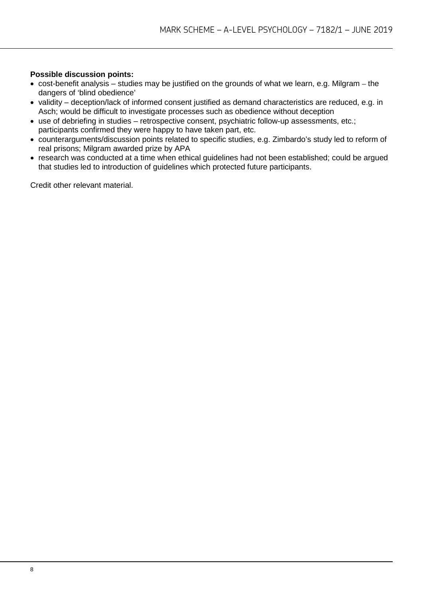# **Possible discussion points:**

- cost-benefit analysis studies may be justified on the grounds of what we learn, e.g. Milgram the dangers of 'blind obedience'
- validity deception/lack of informed consent justified as demand characteristics are reduced, e.g. in Asch; would be difficult to investigate processes such as obedience without deception
- use of debriefing in studies retrospective consent, psychiatric follow-up assessments, etc.; participants confirmed they were happy to have taken part, etc.
- counterarguments/discussion points related to specific studies, e.g. Zimbardo's study led to reform of real prisons; Milgram awarded prize by APA
- research was conducted at a time when ethical guidelines had not been established; could be argued that studies led to introduction of guidelines which protected future participants.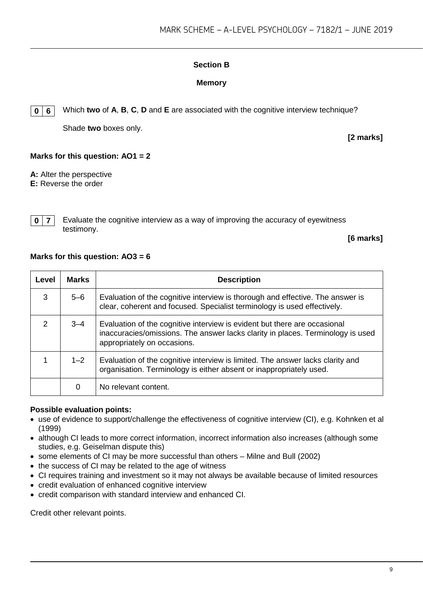# **Section B**

# **Memory**

**0 6** Which **two** of **A**, **B**, **C**, **D** and **E** are associated with the cognitive interview technique?

Shade **two** boxes only.

**[2 marks]**

# **Marks for this question: AO1 = 2**

**A:** Alter the perspective **E:** Reverse the order

**0 7** Evaluate the cognitive interview as a way of improving the accuracy of eyewitness testimony.

**[6 marks]**

## **Marks for this question: AO3 = 6**

| Level         | <b>Marks</b> | <b>Description</b>                                                                                                                                                                          |
|---------------|--------------|---------------------------------------------------------------------------------------------------------------------------------------------------------------------------------------------|
| 3             | 5-6          | Evaluation of the cognitive interview is thorough and effective. The answer is<br>clear, coherent and focused. Specialist terminology is used effectively.                                  |
| $\mathcal{P}$ | $3 - 4$      | Evaluation of the cognitive interview is evident but there are occasional<br>inaccuracies/omissions. The answer lacks clarity in places. Terminology is used<br>appropriately on occasions. |
|               | $1 - 2$      | Evaluation of the cognitive interview is limited. The answer lacks clarity and<br>organisation. Terminology is either absent or inappropriately used.                                       |
|               | 0            | No relevant content.                                                                                                                                                                        |

# **Possible evaluation points:**

- use of evidence to support/challenge the effectiveness of cognitive interview (CI), e.g. Kohnken et al (1999)
- although CI leads to more correct information, incorrect information also increases (although some studies, e.g. Geiselman dispute this)
- some elements of CI may be more successful than others Milne and Bull (2002)
- the success of CI may be related to the age of witness
- CI requires training and investment so it may not always be available because of limited resources
- credit evaluation of enhanced cognitive interview
- credit comparison with standard interview and enhanced CI.

Credit other relevant points.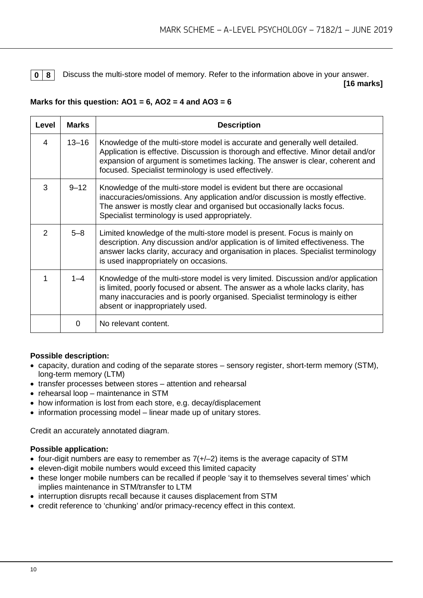**0 8** Discuss the multi-store model of memory. Refer to the information above in your answer. **[16 marks]**

# **Marks for this question: AO1 = 6, AO2 = 4 and AO3 = 6**

| Level | <b>Marks</b> | <b>Description</b>                                                                                                                                                                                                                                                                                          |
|-------|--------------|-------------------------------------------------------------------------------------------------------------------------------------------------------------------------------------------------------------------------------------------------------------------------------------------------------------|
| 4     | $13 - 16$    | Knowledge of the multi-store model is accurate and generally well detailed.<br>Application is effective. Discussion is thorough and effective. Minor detail and/or<br>expansion of argument is sometimes lacking. The answer is clear, coherent and<br>focused. Specialist terminology is used effectively. |
| 3     | $9 - 12$     | Knowledge of the multi-store model is evident but there are occasional<br>inaccuracies/omissions. Any application and/or discussion is mostly effective.<br>The answer is mostly clear and organised but occasionally lacks focus.<br>Specialist terminology is used appropriately.                         |
| 2     | $5 - 8$      | Limited knowledge of the multi-store model is present. Focus is mainly on<br>description. Any discussion and/or application is of limited effectiveness. The<br>answer lacks clarity, accuracy and organisation in places. Specialist terminology<br>is used inappropriately on occasions.                  |
| 1     | $1 - 4$      | Knowledge of the multi-store model is very limited. Discussion and/or application<br>is limited, poorly focused or absent. The answer as a whole lacks clarity, has<br>many inaccuracies and is poorly organised. Specialist terminology is either<br>absent or inappropriately used.                       |
|       | $\Omega$     | No relevant content.                                                                                                                                                                                                                                                                                        |

# **Possible description:**

- capacity, duration and coding of the separate stores sensory register, short-term memory (STM), long-term memory (LTM)
- transfer processes between stores attention and rehearsal
- rehearsal loop maintenance in STM
- how information is lost from each store, e.g. decay/displacement
- information processing model linear made up of unitary stores.

Credit an accurately annotated diagram.

# **Possible application:**

- four-digit numbers are easy to remember as  $7(+/-2)$  items is the average capacity of STM
- eleven-digit mobile numbers would exceed this limited capacity
- these longer mobile numbers can be recalled if people 'say it to themselves several times' which implies maintenance in STM/transfer to LTM
- interruption disrupts recall because it causes displacement from STM
- credit reference to 'chunking' and/or primacy-recency effect in this context.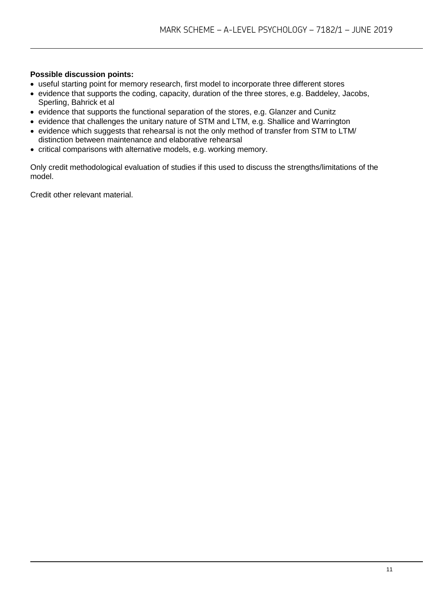# **Possible discussion points:**

- useful starting point for memory research, first model to incorporate three different stores
- evidence that supports the coding, capacity, duration of the three stores, e.g. Baddeley, Jacobs, Sperling, Bahrick et al
- evidence that supports the functional separation of the stores, e.g. Glanzer and Cunitz
- evidence that challenges the unitary nature of STM and LTM, e.g. Shallice and Warrington
- evidence which suggests that rehearsal is not the only method of transfer from STM to LTM/ distinction between maintenance and elaborative rehearsal
- critical comparisons with alternative models, e.g. working memory.

Only credit methodological evaluation of studies if this used to discuss the strengths/limitations of the model.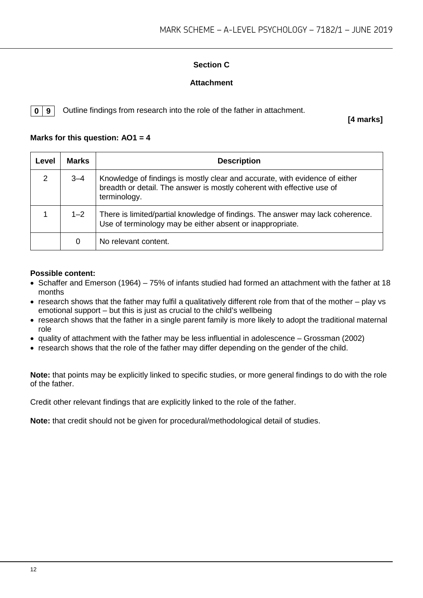# **Section C**

# **Attachment**

**0 9** Outline findings from research into the role of the father in attachment.

**[4 marks]**

# **Marks for this question: AO1 = 4**

| Level | <b>Marks</b> | <b>Description</b>                                                                                                                                                    |
|-------|--------------|-----------------------------------------------------------------------------------------------------------------------------------------------------------------------|
| 2     | $3 - 4$      | Knowledge of findings is mostly clear and accurate, with evidence of either<br>breadth or detail. The answer is mostly coherent with effective use of<br>terminology. |
|       | $1 - 2$      | There is limited/partial knowledge of findings. The answer may lack coherence.<br>Use of terminology may be either absent or inappropriate.                           |
|       | 0            | No relevant content.                                                                                                                                                  |

# **Possible content:**

- Schaffer and Emerson (1964) 75% of infants studied had formed an attachment with the father at 18 months
- research shows that the father may fulfil a qualitatively different role from that of the mother play vs emotional support – but this is just as crucial to the child's wellbeing
- research shows that the father in a single parent family is more likely to adopt the traditional maternal role
- quality of attachment with the father may be less influential in adolescence Grossman (2002)
- research shows that the role of the father may differ depending on the gender of the child.

**Note:** that points may be explicitly linked to specific studies, or more general findings to do with the role of the father.

Credit other relevant findings that are explicitly linked to the role of the father.

**Note:** that credit should not be given for procedural/methodological detail of studies.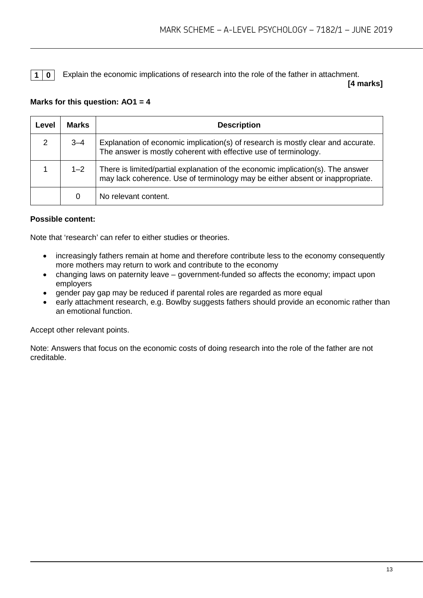**1 0** Explain the economic implications of research into the role of the father in attachment.

**[4 marks]**

# **Marks for this question: AO1 = 4**

| Level | <b>Marks</b> | <b>Description</b>                                                                                                                                               |
|-------|--------------|------------------------------------------------------------------------------------------------------------------------------------------------------------------|
| 2     | $3 - 4$      | Explanation of economic implication(s) of research is mostly clear and accurate.<br>The answer is mostly coherent with effective use of terminology.             |
|       | $1 - 2$      | There is limited/partial explanation of the economic implication(s). The answer<br>may lack coherence. Use of terminology may be either absent or inappropriate. |
|       | 0            | No relevant content.                                                                                                                                             |

# **Possible content:**

Note that 'research' can refer to either studies or theories.

- increasingly fathers remain at home and therefore contribute less to the economy consequently more mothers may return to work and contribute to the economy
- changing laws on paternity leave government-funded so affects the economy; impact upon employers
- gender pay gap may be reduced if parental roles are regarded as more equal
- early attachment research, e.g. Bowlby suggests fathers should provide an economic rather than an emotional function.

Accept other relevant points.

Note: Answers that focus on the economic costs of doing research into the role of the father are not creditable.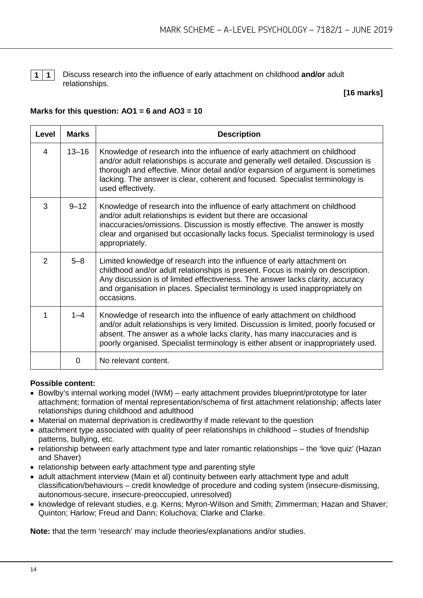

**1 1** Discuss research into the influence of early attachment on childhood **and/or** adult relationships.

## **[16 marks]**

# **Marks for this question: AO1 = 6 and AO3 = 10**

| Level          | <b>Marks</b> | <b>Description</b>                                                                                                                                                                                                                                                                                                                                     |
|----------------|--------------|--------------------------------------------------------------------------------------------------------------------------------------------------------------------------------------------------------------------------------------------------------------------------------------------------------------------------------------------------------|
| $\overline{4}$ | $13 - 16$    | Knowledge of research into the influence of early attachment on childhood<br>and/or adult relationships is accurate and generally well detailed. Discussion is<br>thorough and effective. Minor detail and/or expansion of argument is sometimes<br>lacking. The answer is clear, coherent and focused. Specialist terminology is<br>used effectively. |
| 3              | $9 - 12$     | Knowledge of research into the influence of early attachment on childhood<br>and/or adult relationships is evident but there are occasional<br>inaccuracies/omissions. Discussion is mostly effective. The answer is mostly<br>clear and organised but occasionally lacks focus. Specialist terminology is used<br>appropriately.                      |
| 2              | $5 - 8$      | Limited knowledge of research into the influence of early attachment on<br>childhood and/or adult relationships is present. Focus is mainly on description.<br>Any discussion is of limited effectiveness. The answer lacks clarity, accuracy<br>and organisation in places. Specialist terminology is used inappropriately on<br>occasions.           |
| 1              | $1 - 4$      | Knowledge of research into the influence of early attachment on childhood<br>and/or adult relationships is very limited. Discussion is limited, poorly focused or<br>absent. The answer as a whole lacks clarity, has many inaccuracies and is<br>poorly organised. Specialist terminology is either absent or inappropriately used.                   |
|                | 0            | No relevant content.                                                                                                                                                                                                                                                                                                                                   |

#### **Possible content:**

- Bowlby's internal working model (IWM) early attachment provides blueprint/prototype for later attachment; formation of mental representation/schema of first attachment relationship; affects later relationships during childhood and adulthood
- Material on maternal deprivation is creditworthy if made relevant to the question
- attachment type associated with quality of peer relationships in childhood studies of friendship patterns, bullying, etc.
- relationship between early attachment type and later romantic relationships the 'love quiz' (Hazan and Shaver)
- relationship between early attachment type and parenting style
- adult attachment interview (Main et al) continuity between early attachment type and adult classification/behaviours – credit knowledge of procedure and coding system (insecure-dismissing, autonomous-secure, insecure-preoccupied, unresolved)
- knowledge of relevant studies, e.g. Kerns; Myron-Wilson and Smith; Zimmerman; Hazan and Shaver; Quinton; Harlow; Freud and Dann; Koluchova; Clarke and Clarke.

**Note:** that the term 'research' may include theories/explanations and/or studies.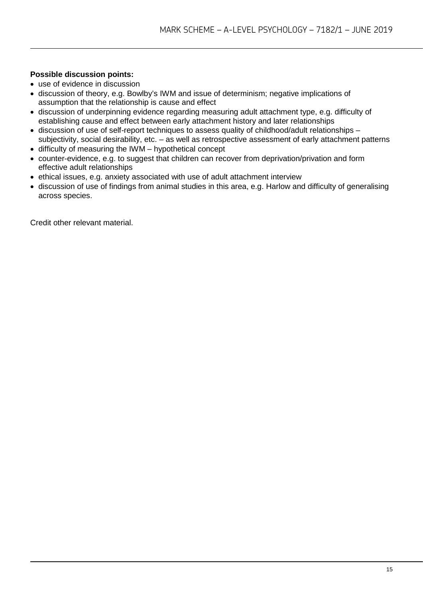# **Possible discussion points:**

- use of evidence in discussion
- discussion of theory, e.g. Bowlby's IWM and issue of determinism; negative implications of assumption that the relationship is cause and effect
- discussion of underpinning evidence regarding measuring adult attachment type, e.g. difficulty of establishing cause and effect between early attachment history and later relationships
- discussion of use of self-report techniques to assess quality of childhood/adult relationships subjectivity, social desirability, etc. – as well as retrospective assessment of early attachment patterns
- difficulty of measuring the IWM hypothetical concept
- counter-evidence, e.g. to suggest that children can recover from deprivation/privation and form effective adult relationships
- ethical issues, e.g. anxiety associated with use of adult attachment interview
- discussion of use of findings from animal studies in this area, e.g. Harlow and difficulty of generalising across species.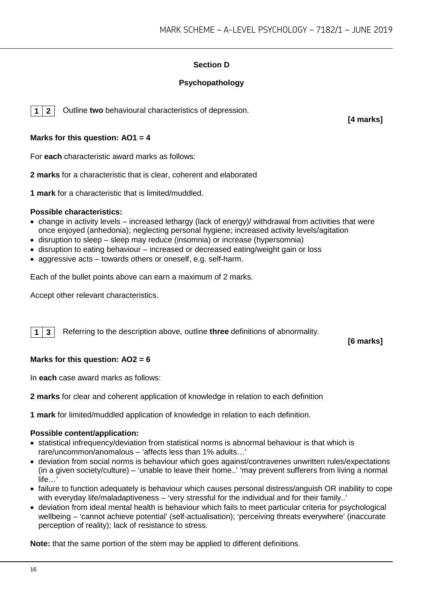# **Section D**

# **Psychopathology**

**1 2** Outline **two** behavioural characteristics of depression.

**[4 marks]**

# **Marks for this question: AO1 = 4**

For **each** characteristic award marks as follows:

**2 marks** for a characteristic that is clear, coherent and elaborated

**1 mark** for a characteristic that is limited/muddled.

## **Possible characteristics:**

- change in activity levels increased lethargy (lack of energy)/ withdrawal from activities that were once enjoyed (anhedonia); neglecting personal hygiene; increased activity levels/agitation
- disruption to sleep sleep may reduce (insomnia) or increase (hypersomnia)
- disruption to eating behaviour increased or decreased eating/weight gain or loss
- aggressive acts towards others or oneself, e.g. self-harm.

Each of the bullet points above can earn a maximum of 2 marks.

Accept other relevant characteristics.

**1 3** Referring to the description above, outline **three** definitions of abnormality.

**[6 marks]**

# **Marks for this question: AO2 = 6**

In **each** case award marks as follows:

**2 marks** for clear and coherent application of knowledge in relation to each definition

**1 mark** for limited/muddled application of knowledge in relation to each definition.

#### **Possible content/application:**

- statistical infrequency/deviation from statistical norms is abnormal behaviour is that which is rare/uncommon/anomalous – 'affects less than 1% adults…'
- deviation from social norms is behaviour which goes against/contravenes unwritten rules/expectations (in a given society/culture) – 'unable to leave their home..' 'may prevent sufferers from living a normal  $l$ ife
- failure to function adequately is behaviour which causes personal distress/anguish OR inability to cope with everyday life/maladaptiveness – 'very stressful for the individual and for their family..'
- deviation from ideal mental health is behaviour which fails to meet particular criteria for psychological wellbeing – 'cannot achieve potential' (self-actualisation); 'perceiving threats everywhere' (inaccurate perception of reality); lack of resistance to stress.

**Note:** that the same portion of the stem may be applied to different definitions.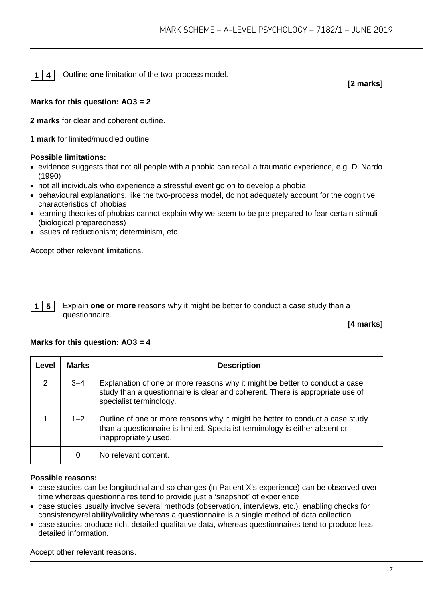**1 4** Outline **one** limitation of the two-process model.

**[2 marks]**

# **Marks for this question: AO3 = 2**

**2 marks** for clear and coherent outline.

**1 mark** for limited/muddled outline.

## **Possible limitations:**

- evidence suggests that not all people with a phobia can recall a traumatic experience, e.g. Di Nardo (1990)
- not all individuals who experience a stressful event go on to develop a phobia
- behavioural explanations, like the two-process model, do not adequately account for the cognitive characteristics of phobias
- learning theories of phobias cannot explain why we seem to be pre-prepared to fear certain stimuli (biological preparedness)
- issues of reductionism; determinism, etc.

Accept other relevant limitations.

**1 5** Explain **one or more** reasons why it might be better to conduct a case study than a questionnaire.

# **[4 marks]**

# **Marks for this question: AO3 = 4**

| Level | <b>Marks</b> | <b>Description</b>                                                                                                                                                                      |
|-------|--------------|-----------------------------------------------------------------------------------------------------------------------------------------------------------------------------------------|
| 2     | $3 - 4$      | Explanation of one or more reasons why it might be better to conduct a case<br>study than a questionnaire is clear and coherent. There is appropriate use of<br>specialist terminology. |
|       | $1 - 2$      | Outline of one or more reasons why it might be better to conduct a case study<br>than a questionnaire is limited. Specialist terminology is either absent or<br>inappropriately used.   |
|       | 0            | No relevant content.                                                                                                                                                                    |

#### **Possible reasons:**

- case studies can be longitudinal and so changes (in Patient X's experience) can be observed over time whereas questionnaires tend to provide just a 'snapshot' of experience
- case studies usually involve several methods (observation, interviews, etc.), enabling checks for consistency/reliability/validity whereas a questionnaire is a single method of data collection
- case studies produce rich, detailed qualitative data, whereas questionnaires tend to produce less detailed information.

Accept other relevant reasons.